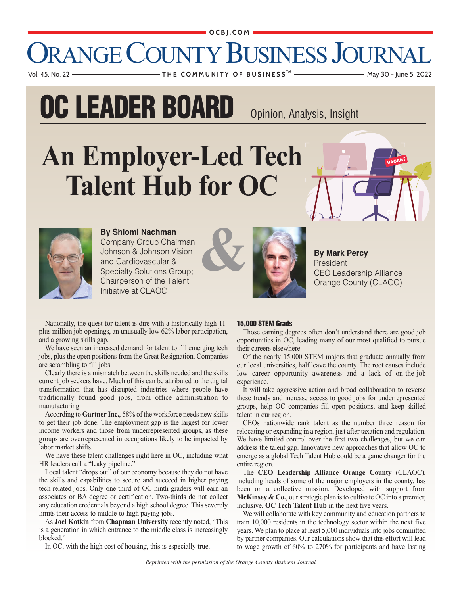#### OCBJ.COM

### DRANGE COUNTY BUSINESS JOURNA  Vol. 45, No. 22 **T H E C O M M U N I T Y O F B U S I N E S S** May 30 - June 5, 2022 **TM**

**OC LEADER BOARD** | Opinion, Analysis, Insight

# **An Employer-Led Tech Talent Hub for OC**



**By Shlomi Nachman**  Company Group Chairman Johnson & Johnson Vision and Cardiovascular & Specialty Solutions Group;

Chairperson of the Talent Initiative at CLAOC





**By Mark Percy** President Orange County (CLAOC)

Nationally, the quest for talent is dire with a historically high 11 plus million job openings, an unusually low 62% labor participation, and a growing skills gap.

We have seen an increased demand for talent to fill emerging tech jobs, plus the open positions from the Great Resignation. Companies are scrambling to fill jobs.

Clearly there is a mismatch between the skills needed and the skills current job seekers have. Much of this can be attributed to the digital transformation that has disrupted industries where people have traditionally found good jobs, from office administration to manufacturing.

According to **Gartner Inc.**, 58% of the workforce needs new skills to get their job done. The employment gap is the largest for lower income workers and those from underrepresented groups, as these groups are overrepresented in occupations likely to be impacted by labor market shifts.

We have these talent challenges right here in OC, including what HR leaders call a "leaky pipeline."

Local talent "drops out" of our economy because they do not have the skills and capabilities to secure and succeed in higher paying tech-related jobs. Only one-third of OC ninth graders will earn an associates or BA degree or certification. Two-thirds do not collect any education credentials beyond a high school degree. This severely limits their access to middle-to-high paying jobs.

As **Joel Kotkin** from **Chapman University** recently noted, "This is a generation in which entrance to the middle class is increasingly blocked."

In OC, with the high cost of housing, this is especially true.

#### **15,000 STEM Grads**

Those earning degrees often don't understand there are good job opportunities in OC, leading many of our most qualified to pursue their careers elsewhere.

Of the nearly 15,000 STEM majors that graduate annually from our local universities, half leave the county. The root causes include low career opportunity awareness and a lack of on-the-job experience.

It will take aggressive action and broad collaboration to reverse these trends and increase access to good jobs for underrepresented groups, help OC companies fill open positions, and keep skilled talent in our region.

CEOs nationwide rank talent as the number three reason for relocating or expanding in a region, just after taxation and regulation. We have limited control over the first two challenges, but we can address the talent gap. Innovative new approaches that allow OC to emerge as a global Tech Talent Hub could be a game changer for the entire region.

The **CEO Leadership Alliance Orange County** (CLAOC), including heads of some of the major employers in the county, has been on a collective mission. Developed with support from **McKinsey & Co.**, our strategic plan is to cultivate OC into a premier, inclusive, **OC Tech Talent Hub** in the next five years.

We will collaborate with key community and education partners to train 10,000 residents in the technology sector within the next five years. We plan to place at least 5,000 individuals into jobs committed by partner companies. Our calculations show that this effort will lead to wage growth of 60% to 270% for participants and have lasting